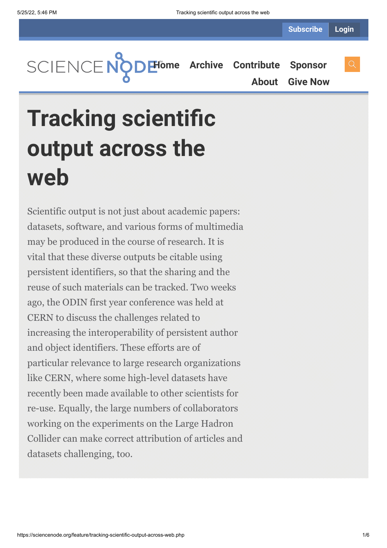**[Home](https://sciencenode.org/) [Archive](https://sciencenode.org/archive/index.php) [Contribute](https://sciencenode.org/contribute/index.php) [Sponsor](https://sciencenode.org/sponsor/index.php)**

**[About](https://sciencenode.org/about/index.php) [Give Now](https://sciencenode.org/donate/index.php)**

# **Tracking scientific output across the web**

Scientific output is not just about academic papers: datasets, software, and various forms of multimedia may be produced in the course of research. It is vital that these diverse outputs be citable using persistent identifiers, so that the sharing and the reuse of such materials can be tracked. Two weeks ago, the ODIN first year conference was held at CERN to discuss the challenges related to increasing the interoperability of persistent author and object identifiers. These efforts are of particular relevance to large research organizations like CERN, where some high-level datasets have recently been made available to other scientists for re-use. Equally, the large numbers of collaborators working on the experiments on the Large Hadron Collider can make correct attribution of articles and datasets challenging, too.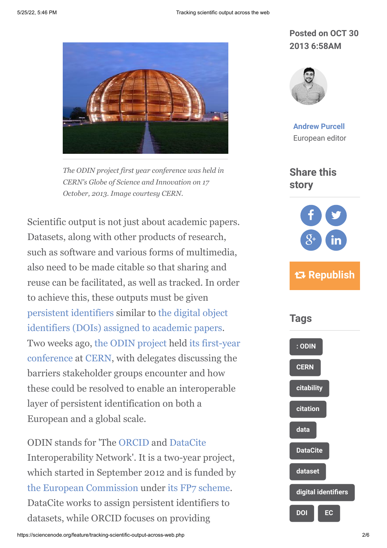

*The ODIN project first year conference was held in CERN's Globe of Science and Innovation on 17 October, 2013. Image courtesy CERN.*

Scientific output is not just about academic papers. Datasets, along with other products of research, such as software and various forms of multimedia, also need to be made citable so that sharing and reuse can be facilitated, as well as tracked. In order to achieve this, these outputs must be given [persistent identifiers](http://en.wikipedia.org/wiki/Persistent_identifier) [similar to the digital object](http://en.wikipedia.org/wiki/Digital_Object_Identifier) identifiers (DOIs) assigned to academic papers. [Two weeks ago,](http://indico.cern.ch/conferenceDisplay.py?confId=238868) [the ODIN project](http://odin-project.eu/) [held its first-year](http://indico.cern.ch/conferenceDisplay.py?confId=238868) conference at [CERN](http://home.web.cern.ch/), with delegates discussing the barriers stakeholder groups encounter and how these could be resolved to enable an interoperable layer of persistent identification on both a European and a global scale.

ODIN stands for 'The [ORCID](http://orcid.org/) and [DataCite](http://www.datacite.org/) Interoperability Network'. It is a two-year project, which started in September 2012 and is funded by [the European Commission](http://ec.europa.eu/index_en.htm) under [its FP7 scheme.](http://ec.europa.eu/research/fp7/index_en.cfm) DataCite works to assign persistent identifiers to datasets, while ORCID focuses on providing

## **Posted on OCT 30 2013 6:58AM**



**[Andrew Purcell](https://sciencenode.org/author/andrew-purcell.php)** European editor

**Share this story**



## **Republish**

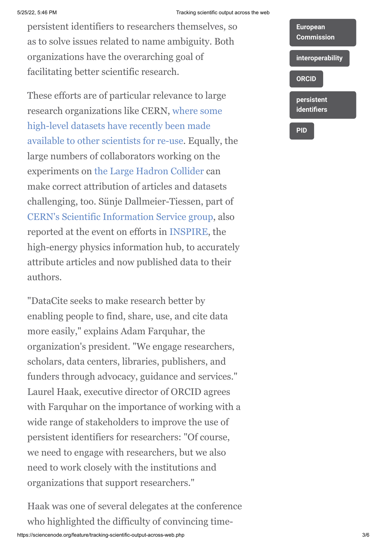#### 5/25/22, 5:46 PM Tracking scientific output across the web

persistent identifiers to researchers themselves, so as to solve issues related to name ambiguity. Both organizations have the overarching goal of facilitating better scientific research.

These efforts are of particular relevance to large research organizations like CERN, where some high-level datasets have recently been made [available to other scientists for re-use. Equally,](http://www.quantumdiaries.org/2013/09/12/inspired-by-the-higgs-a-step-forward-in-open-access/) the large numbers of collaborators working on the experiments on [the Large Hadron Collider](http://home.web.cern.ch/about/accelerators/large-hadron-collider) can make correct attribution of articles and datasets challenging, too. Sünje Dallmeier-Tiessen, part of [CERN's Scientific Information Service group,](http://library.web.cern.ch/) also reported at the event on efforts in [INSPIRE,](http://inspirehep.net/) the high-energy physics information hub, to accurately attribute articles and now published data to their authors.

"DataCite seeks to make research better by enabling people to find, share, use, and cite data more easily," explains Adam Farquhar, the organization's president. "We engage researchers, scholars, data centers, libraries, publishers, and funders through advocacy, guidance and services." Laurel Haak, executive director of ORCID agrees with Farquhar on the importance of working with a wide range of stakeholders to improve the use of persistent identifiers for researchers: "Of course, we need to engage with researchers, but we also need to work closely with the institutions and organizations that support researchers."

Haak was one of several delegates at the conference who highlighted the difficulty of convincing time-

| <b>European</b><br><b>Commission</b> |
|--------------------------------------|
| interoperability                     |
| <b>ORCID</b>                         |
| persistent<br><b>identifiers</b>     |
| PID                                  |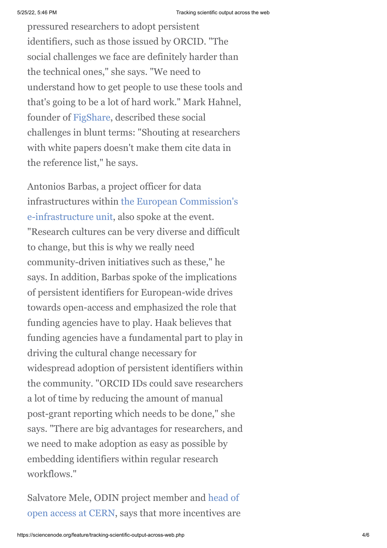pressured researchers to adopt persistent identifiers, such as those issued by ORCID. "The social challenges we face are definitely harder than the technical ones," she says. "We need to understand how to get people to use these tools and that's going to be a lot of hard work." Mark Hahnel, founder of [FigShare,](http://figshare.com/) described these social challenges in blunt terms: "Shouting at researchers with white papers doesn't make them cite data in the reference list," he says.

Antonios Barbas, a project officer for data [infrastructures within the European Commission's](http://cordis.europa.eu/fp7/ict/e-infrastructure/) e-infrastructure unit, also spoke at the event. "Research cultures can be very diverse and difficult to change, but this is why we really need community-driven initiatives such as these," he says. In addition, Barbas spoke of the implications of persistent identifiers for European-wide drives towards open-access and emphasized the role that funding agencies have to play. Haak believes that funding agencies have a fundamental part to play in driving the cultural change necessary for widespread adoption of persistent identifiers within the community. "ORCID IDs could save researchers a lot of time by reducing the amount of manual post-grant reporting which needs to be done," she says. "There are big advantages for researchers, and we need to make adoption as easy as possible by embedding identifiers within regular research workflows."

Salvatore Mele, ODIN project member and head of [open access at CERN, says that more incentives are](http://library.web.cern.ch/oa/policy)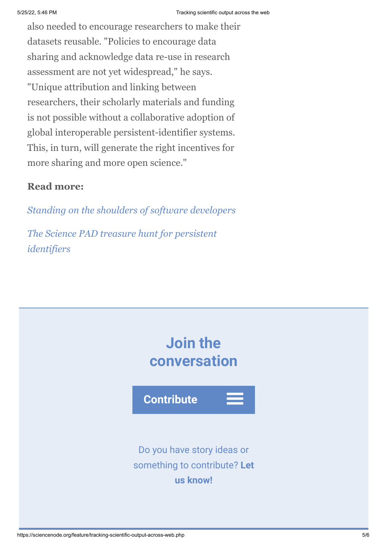also needed to encourage researchers to make their datasets reusable. "Policies to encourage data sharing and acknowledge data re-use in research assessment are not yet widespread," he says. "Unique attribution and linking between researchers, their scholarly materials and funding is not possible without a collaborative adoption of global interoperable persistent-identifier systems. This, in turn, will generate the right incentives for more sharing and more open science."

## **Read more:**

*[Standing on the shoulders of software developers](http://www.isgtw.org/feature/standing-shoulders-software-developers)*

*[The Science PAD treasure hunt for persistent](https://cds.cern.ch/journal/CERNBulletin/2013/04/News%20Articles/1505243) identifiers*